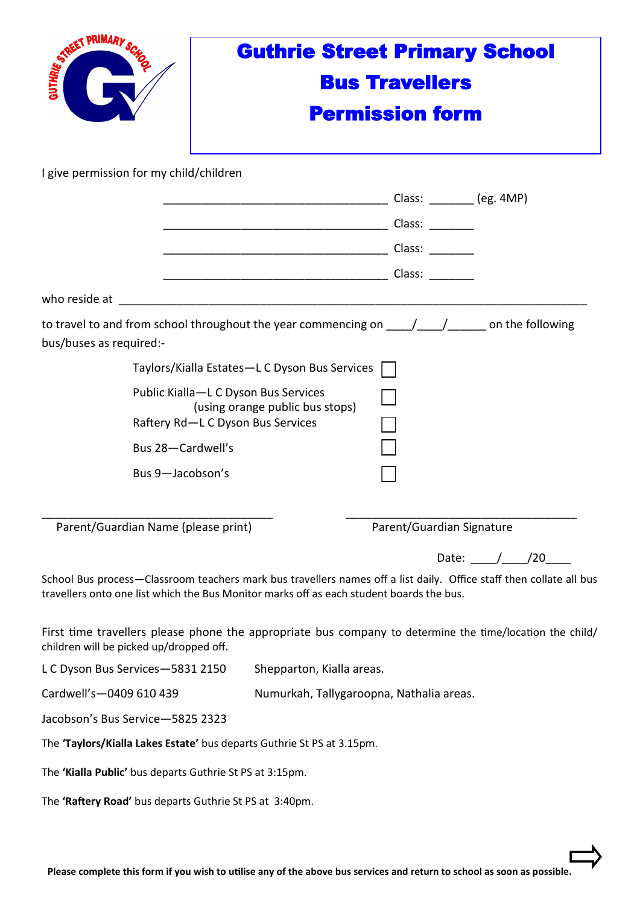| <b>PRIMAR</b><br>GUTHRIE STA                                                                                                                                                                                                                                                                                                                                                                         |                                                                                                              | <b>Guthrie Street Primary School</b>     |                      |
|------------------------------------------------------------------------------------------------------------------------------------------------------------------------------------------------------------------------------------------------------------------------------------------------------------------------------------------------------------------------------------------------------|--------------------------------------------------------------------------------------------------------------|------------------------------------------|----------------------|
|                                                                                                                                                                                                                                                                                                                                                                                                      | <b>Bus Travellers</b>                                                                                        |                                          |                      |
|                                                                                                                                                                                                                                                                                                                                                                                                      |                                                                                                              | <b>Permission form</b>                   |                      |
| I give permission for my child/children                                                                                                                                                                                                                                                                                                                                                              |                                                                                                              |                                          |                      |
|                                                                                                                                                                                                                                                                                                                                                                                                      |                                                                                                              |                                          |                      |
|                                                                                                                                                                                                                                                                                                                                                                                                      | <u>Class:</u>                                                                                                |                                          |                      |
|                                                                                                                                                                                                                                                                                                                                                                                                      |                                                                                                              |                                          |                      |
|                                                                                                                                                                                                                                                                                                                                                                                                      |                                                                                                              |                                          |                      |
| who reside at                                                                                                                                                                                                                                                                                                                                                                                        |                                                                                                              |                                          |                      |
| to travel to and from school throughout the year commencing on $\frac{1}{\sqrt{1-\frac{1}{\sqrt{1-\frac{1}{\sqrt{1-\frac{1}{\sqrt{1-\frac{1}{\sqrt{1-\frac{1}{\sqrt{1-\frac{1}{\sqrt{1-\frac{1}{\sqrt{1-\frac{1}{\sqrt{1-\frac{1}{\sqrt{1-\frac{1}{\sqrt{1-\frac{1}{\sqrt{1-\frac{1}{\sqrt{1-\frac{1}{\sqrt{1-\frac{1}{\sqrt{1-\frac{1}{\sqrt{1-\frac{1}{\sqrt{1-\frac{1$<br>bus/buses as required:- |                                                                                                              |                                          |                      |
|                                                                                                                                                                                                                                                                                                                                                                                                      | Taylors/Kialla Estates-L C Dyson Bus Services                                                                |                                          |                      |
|                                                                                                                                                                                                                                                                                                                                                                                                      | Public Kialla-L C Dyson Bus Services<br>(using orange public bus stops)<br>Raftery Rd-L C Dyson Bus Services |                                          |                      |
| Bus 28-Cardwell's                                                                                                                                                                                                                                                                                                                                                                                    |                                                                                                              |                                          |                      |
| Bus 9-Jacobson's                                                                                                                                                                                                                                                                                                                                                                                     |                                                                                                              |                                          |                      |
|                                                                                                                                                                                                                                                                                                                                                                                                      |                                                                                                              |                                          |                      |
| Parent/Guardian Name (please print)                                                                                                                                                                                                                                                                                                                                                                  |                                                                                                              | Parent/Guardian Signature                |                      |
|                                                                                                                                                                                                                                                                                                                                                                                                      |                                                                                                              |                                          | Date: $\frac{1}{20}$ |
| School Bus process-Classroom teachers mark bus travellers names off a list daily. Office staff then collate all bus<br>travellers onto one list which the Bus Monitor marks off as each student boards the bus.                                                                                                                                                                                      |                                                                                                              |                                          |                      |
| First time travellers please phone the appropriate bus company to determine the time/location the child/<br>children will be picked up/dropped off.                                                                                                                                                                                                                                                  |                                                                                                              |                                          |                      |
| L C Dyson Bus Services-5831 2150<br>Shepparton, Kialla areas.                                                                                                                                                                                                                                                                                                                                        |                                                                                                              |                                          |                      |
| Cardwell's-0409 610 439                                                                                                                                                                                                                                                                                                                                                                              |                                                                                                              | Numurkah, Tallygaroopna, Nathalia areas. |                      |
| Jacobson's Bus Service-5825 2323                                                                                                                                                                                                                                                                                                                                                                     |                                                                                                              |                                          |                      |
| The 'Taylors/Kialla Lakes Estate' bus departs Guthrie St PS at 3.15pm.                                                                                                                                                                                                                                                                                                                               |                                                                                                              |                                          |                      |

The **'Kialla Public'** bus departs Guthrie St PS at 3:15pm.

The **'Raftery Road'** bus departs Guthrie St PS at 3:40pm.